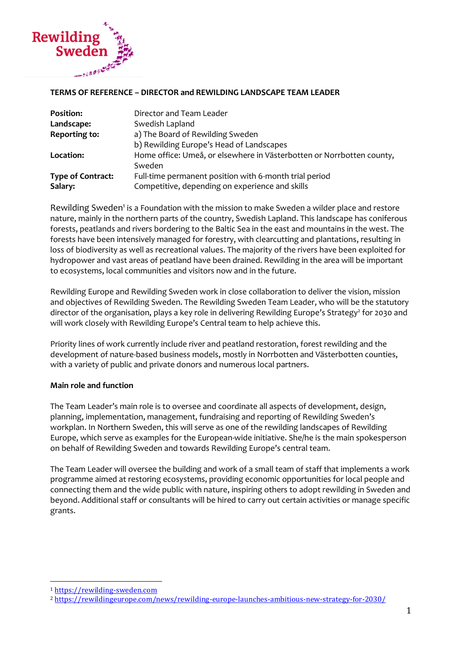

#### **TERMS OF REFERENCE – DIRECTOR and REWILDING LANDSCAPE TEAM LEADER**

| <b>Position:</b>         | Director and Team Leader                                              |
|--------------------------|-----------------------------------------------------------------------|
| Landscape:               | Swedish Lapland                                                       |
| Reporting to:            | a) The Board of Rewilding Sweden                                      |
|                          | b) Rewilding Europe's Head of Landscapes                              |
| Location:                | Home office: Umeå, or elsewhere in Västerbotten or Norrbotten county, |
|                          | Sweden                                                                |
| <b>Type of Contract:</b> | Full-time permanent position with 6-month trial period                |
| Salary:                  | Competitive, depending on experience and skills                       |

Rewilding Sweden<sup>1</sup> is a Foundation with the mission to make Sweden a wilder place and restore nature, mainly in the northern parts of the country, Swedish Lapland. This landscape has coniferous forests, peatlands and rivers bordering to the Baltic Sea in the east and mountains in the west. The forests have been intensively managed for forestry, with clearcutting and plantations, resulting in loss of biodiversity as well as recreational values. The majority of the rivers have been exploited for hydropower and vast areas of peatland have been drained. Rewilding in the area will be important to ecosystems, local communities and visitors now and in the future.

Rewilding Europe and Rewilding Sweden work in close collaboration to deliver the vision, mission and objectives of Rewilding Sweden. The Rewilding Sweden Team Leader, who will be the statutory director of the organisation, plays a key role in delivering Rewilding Europe's Strategy<sup>2</sup> for 2030 and will work closely with Rewilding Europe's Central team to help achieve this.

Priority lines of work currently include river and peatland restoration, forest rewilding and the development of nature-based business models, mostly in Norrbotten and Västerbotten counties, with a variety of public and private donors and numerous local partners.

#### **Main role and function**

The Team Leader's main role is to oversee and coordinate all aspects of development, design, planning, implementation, management, fundraising and reporting of Rewilding Sweden's workplan. In Northern Sweden, this will serve as one of the rewilding landscapes of Rewilding Europe, which serve as examples for the European-wide initiative. She/he is the main spokesperson on behalf of Rewilding Sweden and towards Rewilding Europe's central team.

The Team Leader will oversee the building and work of a small team of staff that implements a work programme aimed at restoring ecosystems, providing economic opportunities for local people and connecting them and the wide public with nature, inspiring others to adopt rewilding in Sweden and beyond. Additional staff or consultants will be hired to carry out certain activities or manage specific grants.

<sup>1</sup> [https://rewilding-sweden.com](https://rewilding-sweden.com/)

<sup>2</sup> <https://rewildingeurope.com/news/rewilding-europe-launches-ambitious-new-strategy-for-2030/>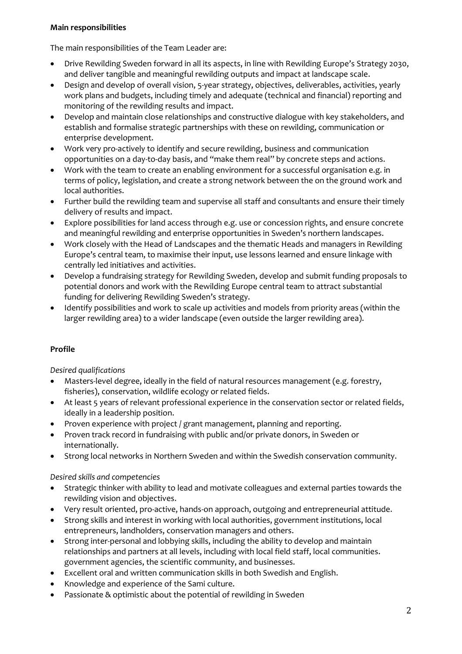# **Main responsibilities**

The main responsibilities of the Team Leader are:

- Drive Rewilding Sweden forward in all its aspects, in line with Rewilding Europe's Strategy 2030, and deliver tangible and meaningful rewilding outputs and impact at landscape scale.
- Design and develop of overall vision, 5-year strategy, objectives, deliverables, activities, yearly work plans and budgets, including timely and adequate (technical and financial) reporting and monitoring of the rewilding results and impact.
- Develop and maintain close relationships and constructive dialogue with key stakeholders, and establish and formalise strategic partnerships with these on rewilding, communication or enterprise development.
- Work very pro-actively to identify and secure rewilding, business and communication opportunities on a day-to-day basis, and "make them real'' by concrete steps and actions.
- Work with the team to create an enabling environment for a successful organisation e.g. in terms of policy, legislation, and create a strong network between the on the ground work and local authorities.
- Further build the rewilding team and supervise all staff and consultants and ensure their timely delivery of results and impact.
- Explore possibilities for land access through e.g. use or concession rights, and ensure concrete and meaningful rewilding and enterprise opportunities in Sweden's northern landscapes.
- Work closely with the Head of Landscapes and the thematic Heads and managers in Rewilding Europe's central team, to maximise their input, use lessons learned and ensure linkage with centrally led initiatives and activities.
- Develop a fundraising strategy for Rewilding Sweden, develop and submit funding proposals to potential donors and work with the Rewilding Europe central team to attract substantial funding for delivering Rewilding Sweden's strategy.
- Identify possibilities and work to scale up activities and models from priority areas (within the larger rewilding area) to a wider landscape (even outside the larger rewilding area).

# **Profile**

*Desired qualifications*

- Masters-level degree, ideally in the field of natural resources management (e.g. forestry, fisheries), conservation, wildlife ecology or related fields.
- At least 5 years of relevant professional experience in the conservation sector or related fields, ideally in a leadership position.
- Proven experience with project / grant management, planning and reporting.
- Proven track record in fundraising with public and/or private donors, in Sweden or internationally.
- Strong local networks in Northern Sweden and within the Swedish conservation community.

*Desired skills and competencies*

- Strategic thinker with ability to lead and motivate colleagues and external parties towards the rewilding vision and objectives.
- Very result oriented, pro-active, hands-on approach, outgoing and entrepreneurial attitude.
- Strong skills and interest in working with local authorities, government institutions, local entrepreneurs, landholders, conservation managers and others.
- Strong inter-personal and lobbying skills, including the ability to develop and maintain relationships and partners at all levels, including with local field staff, local communities. government agencies, the scientific community, and businesses.
- Excellent oral and written communication skills in both Swedish and English.
- Knowledge and experience of the Sami culture.
- Passionate & optimistic about the potential of rewilding in Sweden